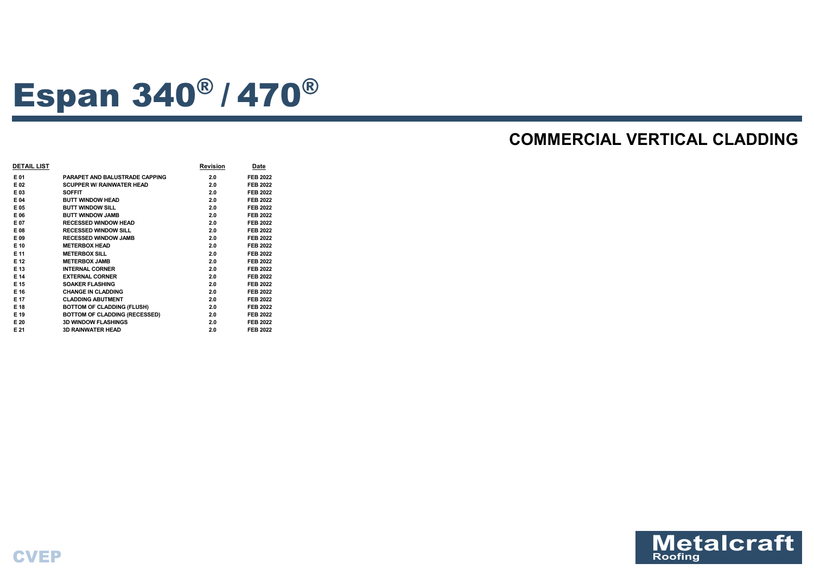

# Espan 340® / <sup>470</sup>®

## **COMMERCIAL VERTICAL CLADDING**

| <b>DETAIL LIST</b> |                                       | <b>Revision</b> | Date            |
|--------------------|---------------------------------------|-----------------|-----------------|
| E 01               | <b>PARAPET AND BALUSTRADE CAPPING</b> | 2.0             | <b>FEB 2022</b> |
| E 02               | <b>SCUPPER W/ RAINWATER HEAD</b>      | 2.0             | <b>FEB 2022</b> |
| E 03               | <b>SOFFIT</b>                         | 2.0             | <b>FEB 2022</b> |
| E 04               | <b>BUTT WINDOW HEAD</b>               | 2.0             | <b>FEB 2022</b> |
| E 05               | <b>BUTT WINDOW SILL</b>               | 2.0             | <b>FEB 2022</b> |
| E 06               | <b>BUTT WINDOW JAMB</b>               | 2.0             | <b>FEB 2022</b> |
| E 07               | <b>RECESSED WINDOW HEAD</b>           | 2.0             | <b>FEB 2022</b> |
| E 08               | <b>RECESSED WINDOW SILL</b>           | 2.0             | <b>FEB 2022</b> |
| E 09               | <b>RECESSED WINDOW JAMB</b>           | 2.0             | <b>FEB 2022</b> |
| E 10               | <b>METERBOX HEAD</b>                  | 2.0             | <b>FEB 2022</b> |
| E 11               | <b>METERBOX SILL</b>                  | 2.0             | <b>FEB 2022</b> |
| E 12               | <b>METERBOX JAMB</b>                  | 2.0             | <b>FEB 2022</b> |
| E 13               | <b>INTERNAL CORNER</b>                | 2.0             | <b>FEB 2022</b> |
| E 14               | <b>EXTERNAL CORNER</b>                | 2.0             | <b>FEB 2022</b> |
| E 15               | <b>SOAKER FLASHING</b>                | 2.0             | <b>FEB 2022</b> |
| E 16               | <b>CHANGE IN CLADDING</b>             | 2.0             | <b>FEB 2022</b> |
| E 17               | <b>CLADDING ABUTMENT</b>              | 2.0             | <b>FEB 2022</b> |
| E 18               | <b>BOTTOM OF CLADDING (FLUSH)</b>     | 2.0             | <b>FEB 2022</b> |
| E 19               | <b>BOTTOM OF CLADDING (RECESSED)</b>  | 2.0             | <b>FEB 2022</b> |
| E 20               | <b>3D WINDOW FLASHINGS</b>            | 2.0             | <b>FEB 2022</b> |
| E 21               | <b>3D RAINWATER HEAD</b>              | 2.0             | <b>FEB 2022</b> |
|                    |                                       |                 |                 |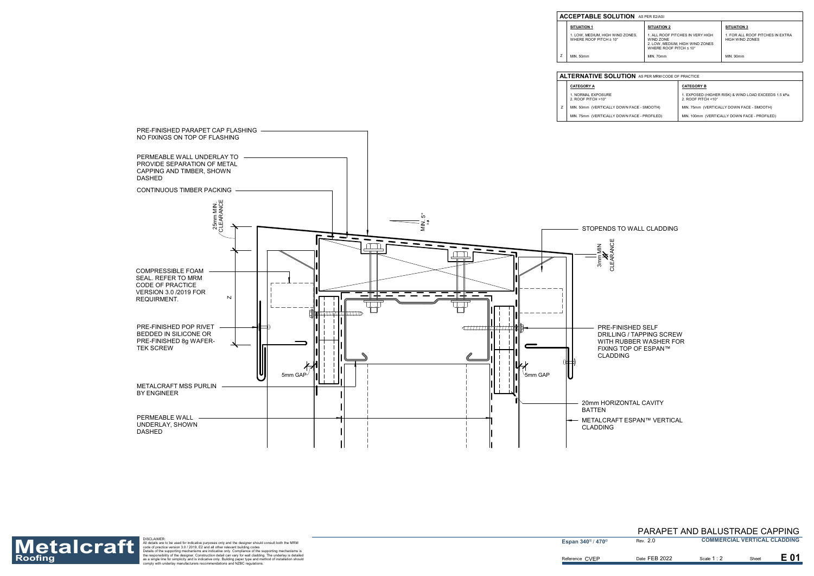

PRE-FINISHED SELF DRILLING / TAPPING SCREW WITH RUBBER WASHER FOR FIXING TOP OF ESPAN™

METALCRAFT ESPAN™ VERTICAL

#### STOPENDS TO WALL CLADDING

#### 20mm HORIZONTAL CAVITY

MIN. 50mm (VERTICALLY Z

**CATEGORY A** 1. NORMAL EXPOSURE 2. ROOF PITCH >10°



| <b>LUTION</b> AS PER MRM CODE OF PRACTICE |                                                                             |  |  |  |
|-------------------------------------------|-----------------------------------------------------------------------------|--|--|--|
|                                           | <b>CATEGORY B</b>                                                           |  |  |  |
|                                           | 1. EXPOSED (HIGHER RISK) & WIND LOAD EXCEEDS 1.5 kPa.<br>2. ROOF PITCH <10° |  |  |  |
| ' DOWN FACE - SMOOTH)                     | MIN. 75mm (VERTICALLY DOWN FACE - SMOOTH)                                   |  |  |  |
| ' DOWN FACE - PROFILED)                   | MIN. 100mm (VERTICALLY DOWN FACE - PROFILED)                                |  |  |  |

| <b>SITUATION 2</b><br><b>SITUATION 3</b><br>1. FOR ALL ROOF PITCHES IN EXTRA<br>1. ALL ROOF PITCHES IN VERY HIGH<br><b>HIGH WIND ZONES</b><br>WIND ZONE | <b>UTION</b> AS PER E2/ASI |                                 |  |  |  |
|---------------------------------------------------------------------------------------------------------------------------------------------------------|----------------------------|---------------------------------|--|--|--|
|                                                                                                                                                         |                            |                                 |  |  |  |
| WHERE ROOF PITCH $\leq 10^{\circ}$                                                                                                                      | IND ZONES.<br>ገ°           | 2. LOW, MEDIUM, HIGH WIND ZONES |  |  |  |
| <b>MIN. 70mm</b><br>MIN. 90mm                                                                                                                           |                            |                                 |  |  |  |

Z

#### **ALTERNATIVE SOL**

#### **ACCEPTABLE SOL**

**SITUATION 1**

1. LOW, MEDIUM, HIGH WIND ZONES, WHERE ROOF PITCH ≥ 10°

MIN. 50mm



Roofing as a single for the support of the designer should consult be the designer should consult be the designer should consult be the support ing codes<br>
Many of the case of practice version 3.0/2019, E2 and all other rel

**Espan 340<sup>®</sup> / 470<sup>®</sup>** 

#### 2.0 PARAPET AND BALUSTRADE CAPPING **COMMERCIAL VERTICAL CLADDING**

Scale **1** : 2 Date FEB 2022 **Scale 1:2** Sheet

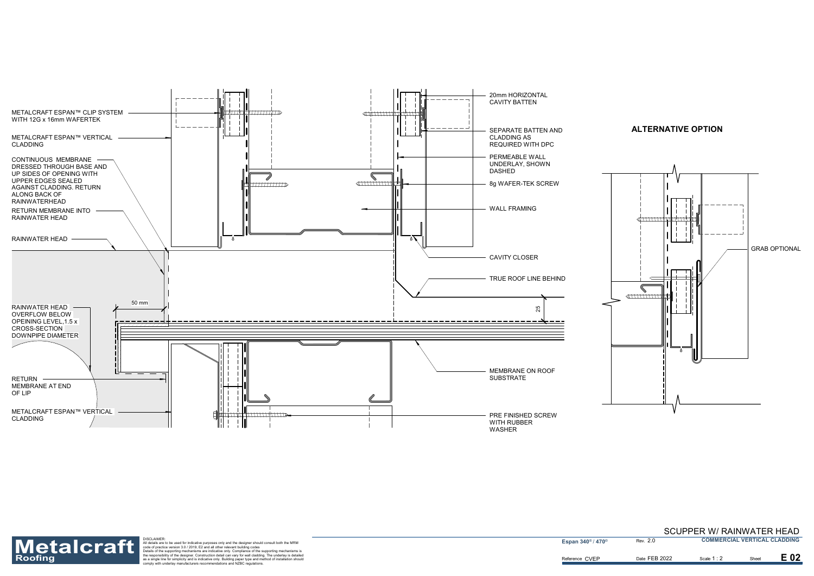



Reference CVEP



Roofing as a single for simple to the support of the designer should consult both the MRM<br>
Description of the support in the designer should consult both the MRM<br>
Description of practice version 3.0/2019, E2 and all other

**Espan 340<sup>®</sup> / 470<sup>®</sup>** 

2.0

Scale 1 : 2

E 02

Date FEB 2022 **Scale 1:2** Sheet

SCUPPER W/ RAINWATER HEAD **COMMERCIAL VERTICAL CLADDING**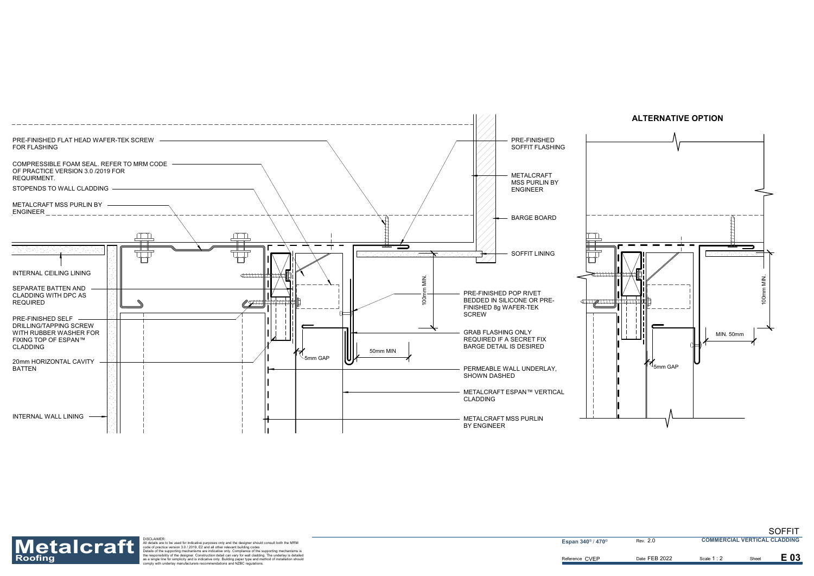



Reference CVEP



Roofing as a single for simple to the support of the designer should consult both the MRM<br>
Description of the support in the designer should consult both the MRM<br>
Description of practice version 3.0/2019, E2 and all other

**Espan 340<sup>®</sup> / 470<sup>®</sup>** 

2.0

Date FEB 2022 **Scale 1:2** Sheet

Scale **1** : 2

E 03

SOFFIT **COMMERCIAL VERTICAL CLADDING**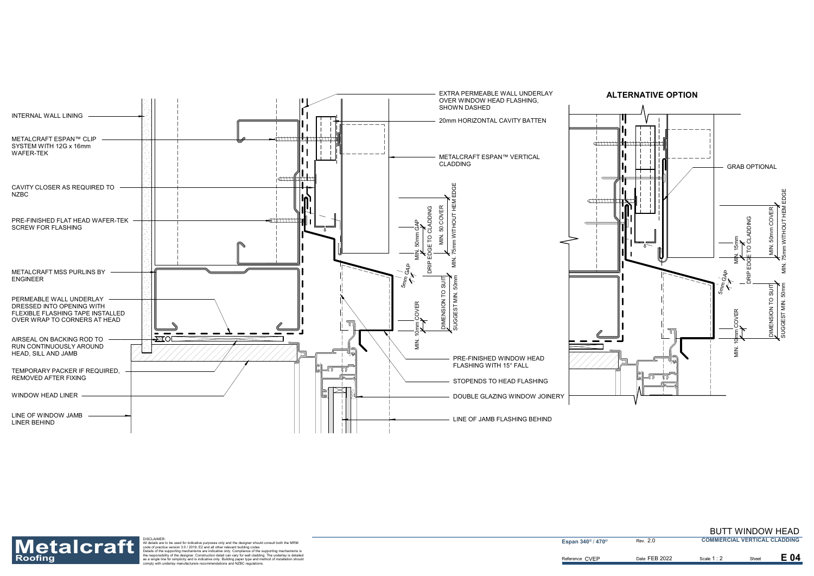



Roofing as a single for simple to the support of the designer should consult both the MRM<br>
Description of the support in the designer should consult both the MRM<br>
Description of practice version 3.0/2019, E2 and all other

**Espan 340<sup>®</sup> / 470<sup>®</sup>** 

2.0

Date FEB 2022 **Scale 1:2** Sheet

Scale **1** : 2

E 04

#### BUTT WINDOW HEAD **COMMERCIAL VERTICAL CLADDING**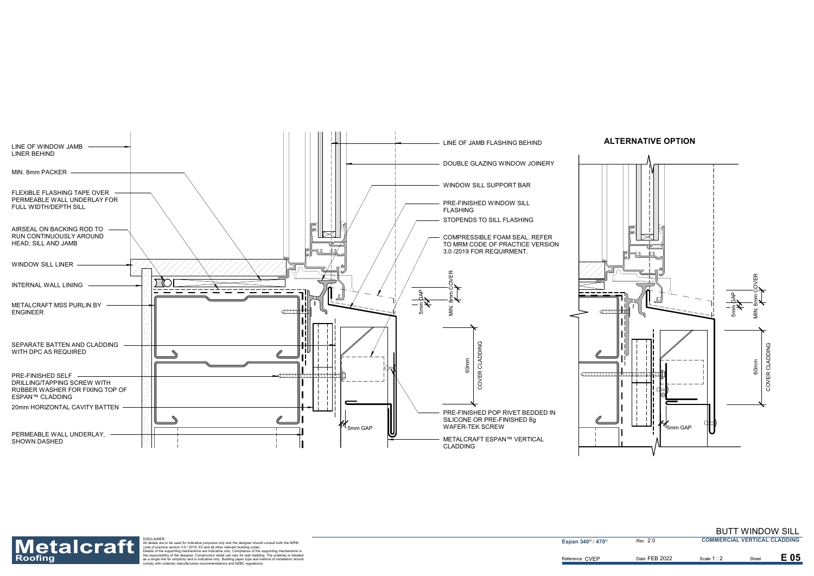



Roofing as a single for simple to the support of the designer should consult both the MRM<br>
Description of the support in the designer should consult both the MRM<br>
Description of practice version 3.0/2019, E2 and all other

**Espan 340<sup>®</sup> / 470<sup>®</sup>** 

2.0

Date FEB 2022 **Scale 1:2** Sheet

Scale **1** : 2

E 05

#### BUTT WINDOW SILL **COMMERCIAL VERTICAL CLADDING**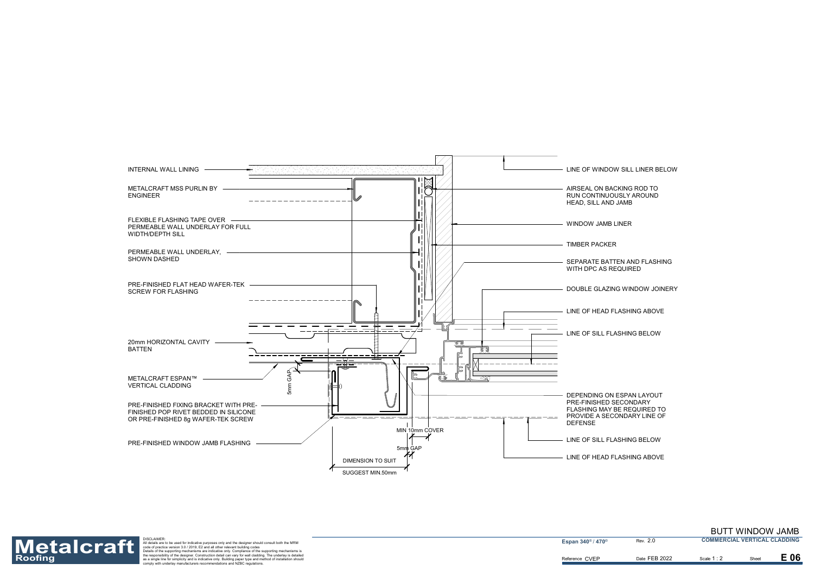DOUBLE GLAZING WINDOW JOINERY

LINE OF WINDOW SILL LINER BELOW



DEPENDING ON ESPAN LAYOUT FLASHING MAY BE REQUIRED TO PROVIDE A SECONDARY LINE OF

LINE OF HEAD FLASHING ABOVE

SEPARATE BATTEN AND FLASHING

Reference CVEP



Roofing as a single for simple to the support of the designer should consult both the MRM<br>
Description of the support in the designer should consult both the MRM<br>
Description of practice version 3.0/2019, E2 and all other

**Espan 340<sup>®</sup> / 470<sup>®</sup>** 

2.0

#### BUTT WINDOW JAMB

**COMMERCIAL VERTICAL CLADDING**

Date FEB 2022 **Scale 1:2** Sheet

Scale **1** : 2

E 06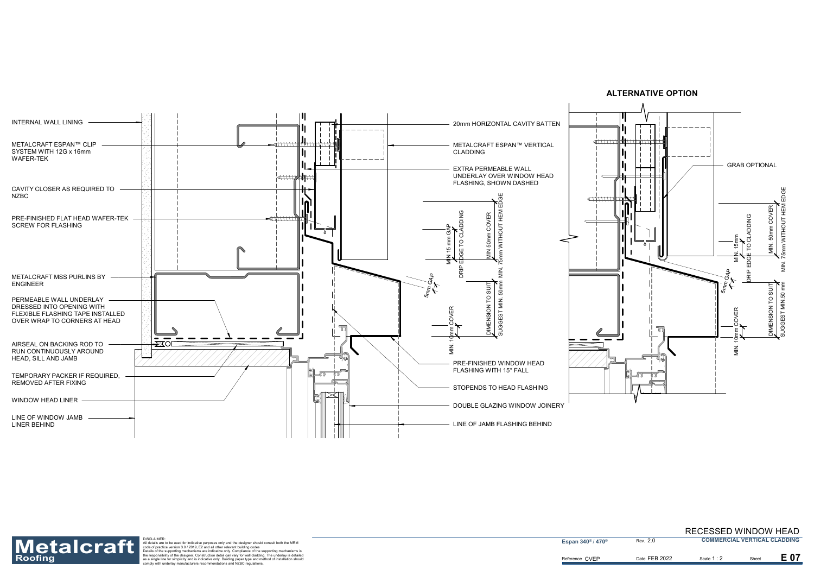



Reference CVEP



Roofing as a single for simple to the support of the designer should consult both the MRM<br>
Description of the support in the designer should consult both the MRM<br>
Description of practice version 3.0/2019, E2 and all other

**Espan 340<sup>®</sup> / 470<sup>®</sup>** 

2.0

Date FEB 2022 **Scale 1:2** Sheet

Scale 1 : 2

E 07

#### RECESSED WINDOW HEAD **COMMERCIAL VERTICAL CLADDING**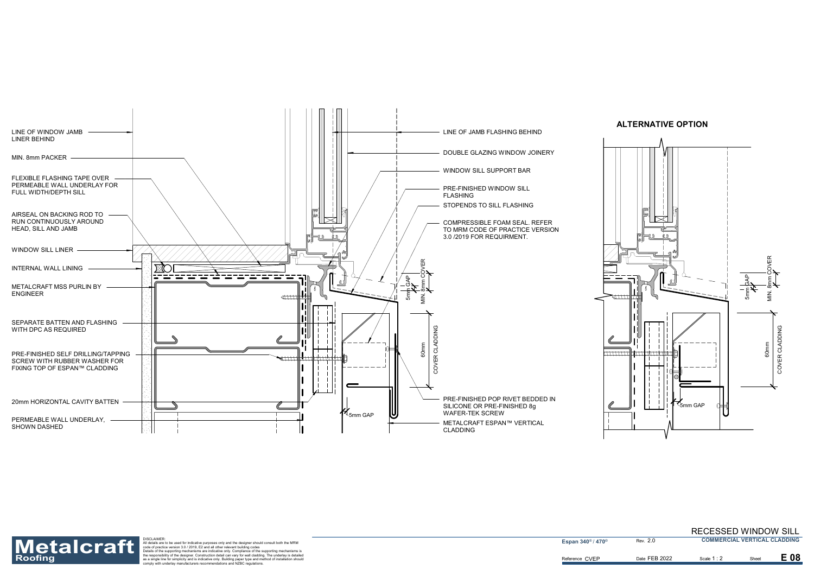



Reference CVEP



Roofing as a single for simple to the support of the designer should consult both the MRM<br>
Description of the support in the designer should consult both the MRM<br>
Description of practice version 3.0/2019, E2 and all other

**Espan 340<sup>®</sup> / 470<sup>®</sup>** 

2.0

Date FEB 2022 **Scale 1:2** Sheet

Scale 1 : 2

E 08

RECESSED WINDOW SILL **COMMERCIAL VERTICAL CLADDING**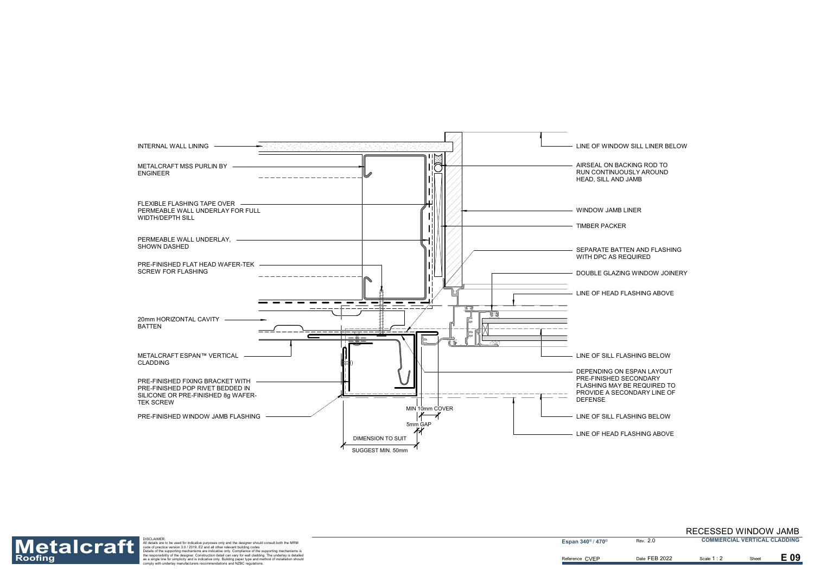DOUBLE GLAZING WINDOW JOINERY

LINE OF SILL FLASHING BELOW

LINE OF WINDOW SILL LINER BELOW

AIRSEAL ON BACKING ROD TO RUN CONTINUOUSLY AROUND



DEPENDING ON ESPAN LAYOUT PRE-FINISHED SECONDARY FLASHING MAY BE REQUIRED TO PROVIDE A SECONDARY LINE OF

LINE OF SILL FLASHING BELOW

LINE OF HEAD FLASHING ABOVE

SEPARATE BATTEN AND FLASHING

LINE OF HEAD FLASHING ABOVE

Reference CVEP



Roofing as a single for simple to the support of the designer should consult both the MRM<br>
Description of the support in the designer should consult both the MRM<br>
Description of practice version 3.0/2019, E2 and all other

**Espan 340<sup>®</sup> / 470<sup>®</sup>** 

2.0

Date FEB 2022 **Scale 1:2** Sheet

Scale **1** : 2

E 09

#### RECESSED WINDOW JAMB **COMMERCIAL VERTICAL CLADDING**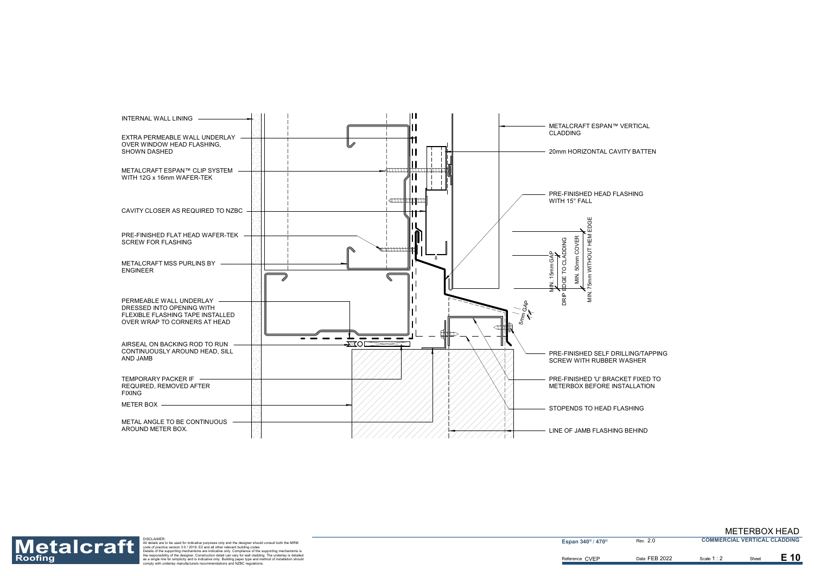



Roofing as a single for simple to the support of the designer should consult both the MRM<br>
Description of the support in the designer should consult both the MRM<br>
Description of practice version 3.0/2019, E2 and all other

2.0

METERBOX HEAD **COMMERCIAL VERTICAL CLADDING**

Date FEB 2022 **Scale 1:2** Sheet

Scale **1** : 2

E 10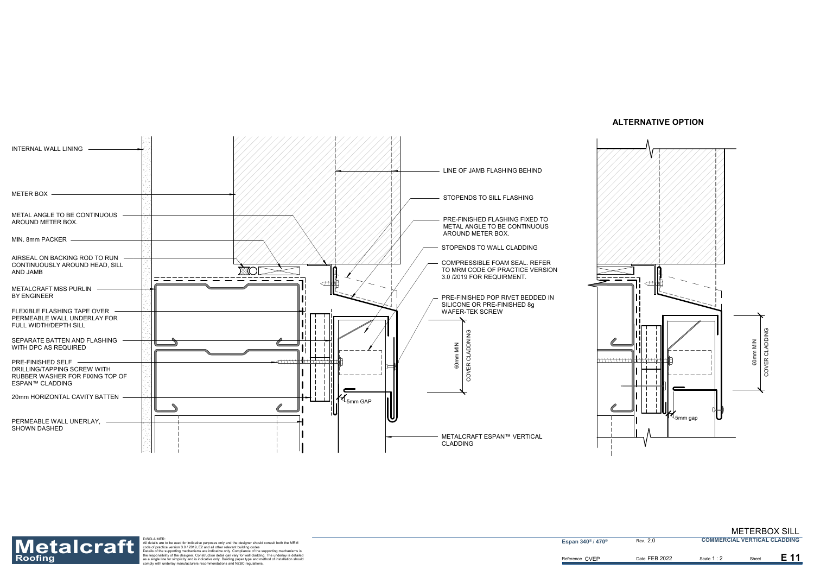



Reference CVEP



Roofing as a single for simple to the support of the designer should consult both the MRM<br>
Description of the support in the designer should consult both the MRM<br>
Description of practice version 3.0/2019, E2 and all other

**Espan 340<sup>®</sup> / 470<sup>®</sup>** 

2.0

Date FEB 2022 Scale 1:2 Sheet

```
Scale 1 : 2
```
E 11

METERBOX SILL **COMMERCIAL VERTICAL CLADDING**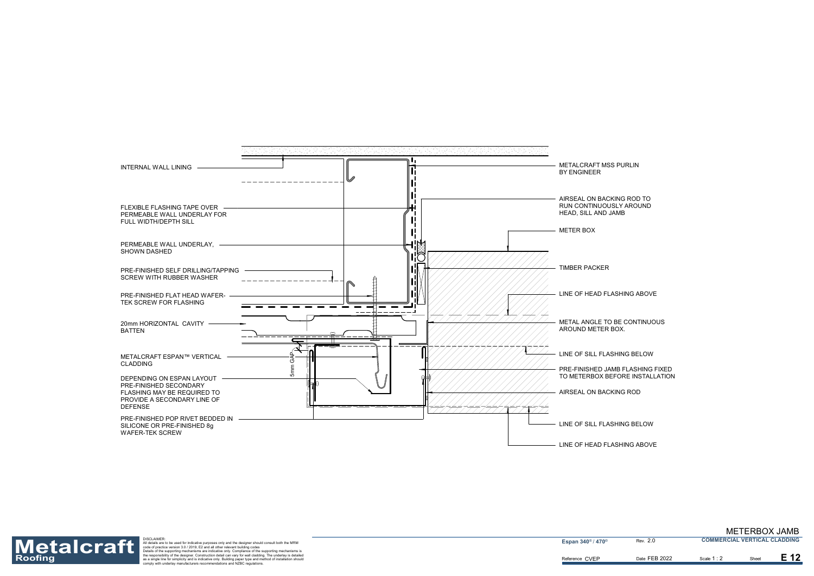PRE-FINISHED JAMB FLASHING FIXED TO METERBOX BEFORE INSTALLATION



Reference CVEP



Roofing as a single for simple to the support of the designer should consult both the MRM<br>
Description of the support in the designer should consult both the MRM<br>
Description of practice version 3.0/2019, E2 and all other

**Espan 340<sup>®</sup> / 470<sup>®</sup>** 

2.0

Date FEB 2022 **Scale 1:2** Sheet

Scale **1** : 2

E 12

#### METERBOX JAMB **COMMERCIAL VERTICAL CLADDING**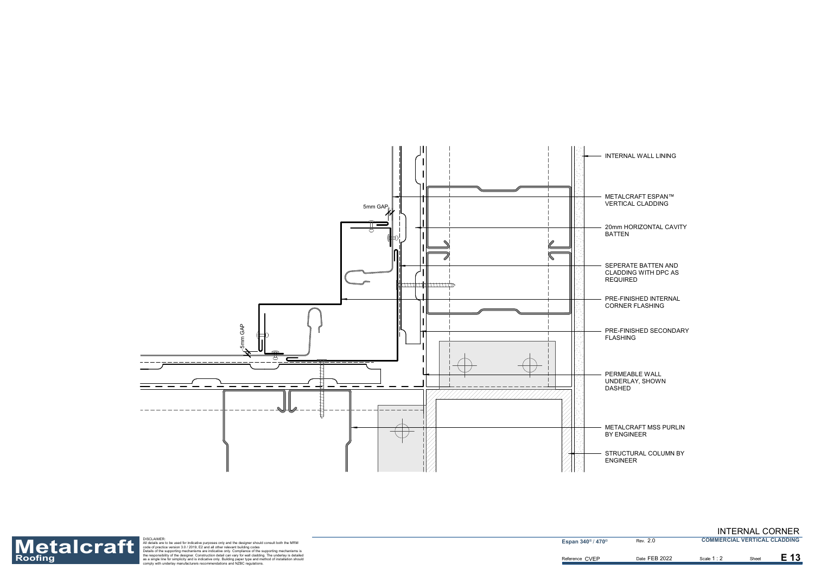METALCRAFT ESPAN™ VERTICAL CLADDING

20mm HORIZONTAL CAVITY BATTEN

PRE-FINISHED INTERNAL CORNER FLASHING

INTERNAL WALL LINING

PERMEABLE WALL UNDERLAY, SHOWN DASHED

STRUCTURAL COLUMN BY ENGINEER

METALCRAFT MSS PURLIN BY ENGINEER

PRE-FINISHED SECONDARY FLASHING

SEPERATE BATTEN AND CLADDING WITH DPC AS REQUIRED



Reference CVEP



Roofing as a single for simple to the support of the designer should consult both the MRM<br>
Description of the support in the designer should consult both the MRM<br>
Description of practice version 3.0/2019, E2 and all other

**Espan 340<sup>®</sup> / 470<sup>®</sup>** 

1 : 2

E 13

2.0

Date FEB 2022 **Scale 1:2** Sheet

INTERNAL CORNER **COMMERCIAL VERTICAL CLADDING**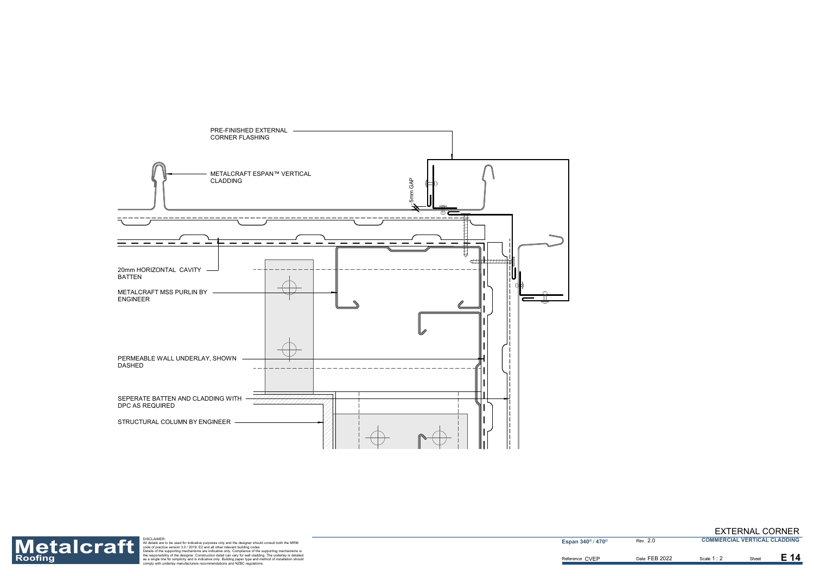



Roofing as a single for simple to the support of the designer should consult both the MRM<br>
Description of the support in the designer should consult both the MRM<br>
Description of practice version 3.0/2019, E2 and all other

**Espan 340<sup>®</sup> / 470<sup>®</sup>** 

1 : 2

 $E$  14

2.0

### EXTERNAL CORNER

**COMMERCIAL VERTICAL CLADDING**

Date FEB 2022 **Scale 1:2** Sheet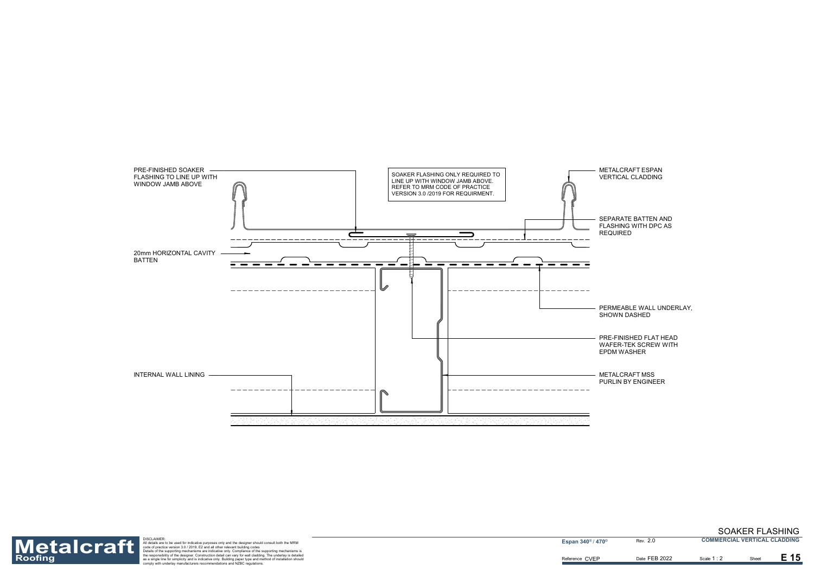PERMEABLE WALL UNDERLAY, SHOWN DASHED

METALCRAFT ESPAN VERTICAL CLADDING

PRE-FINISHED FLAT HEAD WAFER-TEK SCREW WITH EPDM WASHER



SEPARATE BATTEN AND FLASHING WITH DPC AS REQUIRED

METALCRAFT MSS PURLIN BY ENGINEER





Roofing as a single for simple for simple and all other relevant building ages only and the designer should consult both the MRM<br>
Materials are to be used for indicative purposes only and the designer should consult both t

2.0

Date FEB 2022 **Scale 1:2** Sheet

Scale 1 : 2



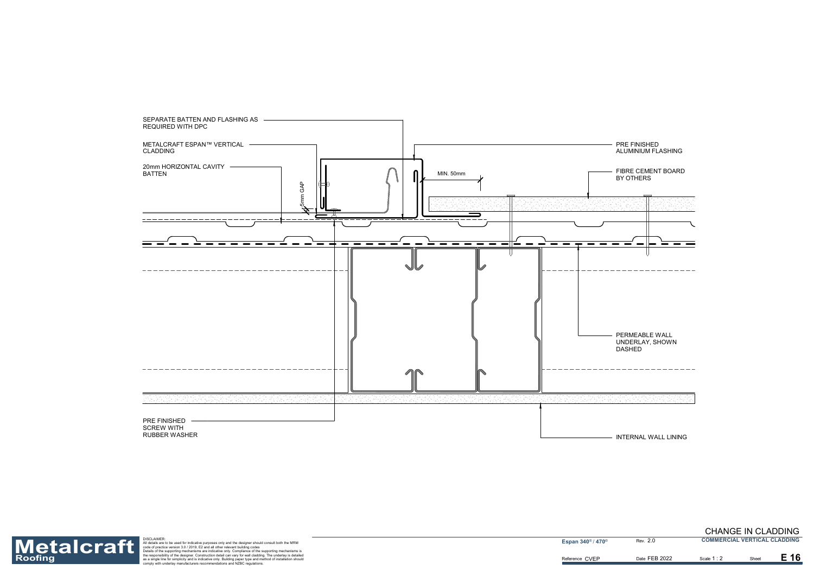

INTERNAL WALL LINING

Reference CVEP



Roofing as a single for simple for simple and all other relevant building ages only and the designer should consult both the MRM<br>
Materials are to be used for indicative purposes only and the designer should consult both t

**Espan 340<sup>®</sup> / 470<sup>®</sup>** 

1 : 2

E 16

2.0

Date FEB 2022 **Scale 1:2** Sheet

#### CHANGE IN CLADDING **COMMERCIAL VERTICAL CLADDING**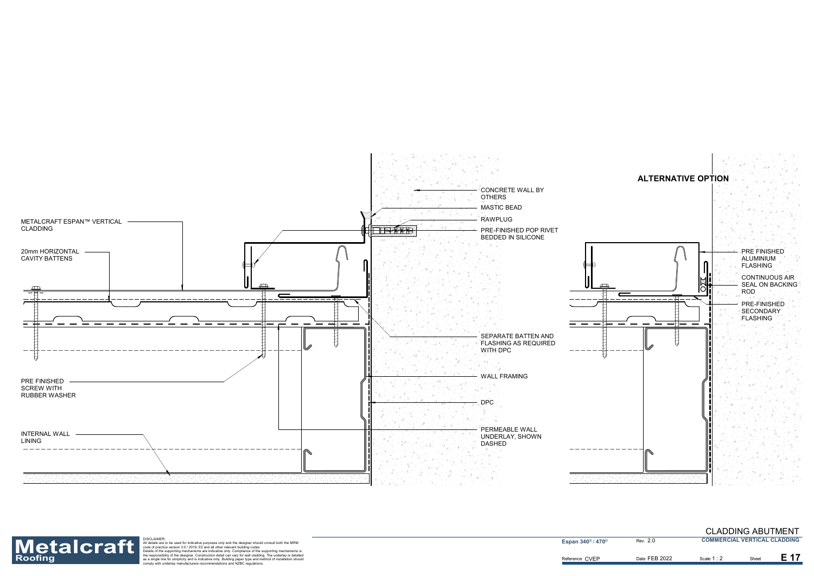





Roofing as a single for simple for simple and all other relevant building ages only and the designer should consult both the MRM<br>
Materials are to be used for indicative purposes only and the designer should consult both t

**Espan 340<sup>®</sup> / 470<sup>®</sup>** 

2.0

Date FEB 2022 **Scale 1:2** Sheet

Scale **1** : 2

#### CLADDING ABUTMENT **COMMERCIAL VERTICAL CLADDING**

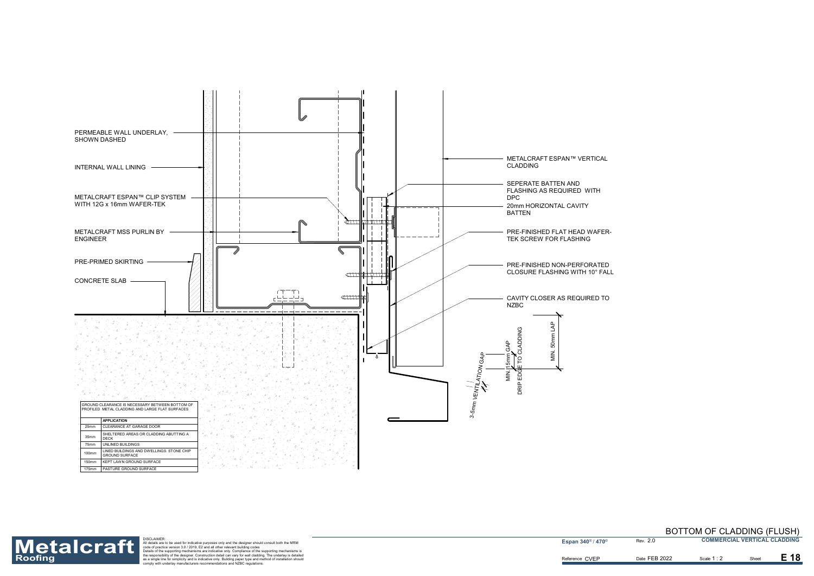



Roofing as a single for simple for simple and all other relevant building ages only and the designer should consult both the MRM<br>
Materials are to be used for indicative purposes only and the designer should consult both t

**Espan 340<sup>®</sup> / 470<sup>®</sup>** 

2.0

Date FEB 2022 Scale 1:2 Sheet

Scale **1** : 2

E 18

#### BOTTOM OF CLADDING (FLUSH) **COMMERCIAL VERTICAL CLADDING**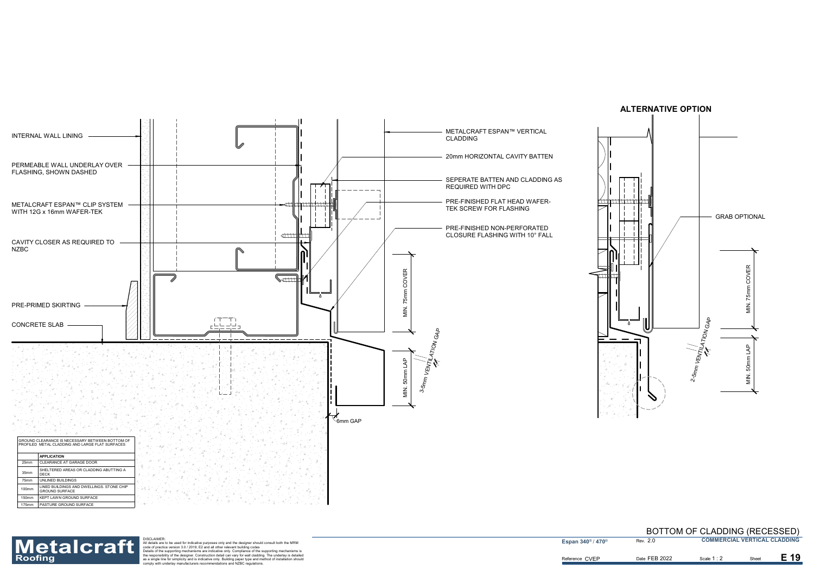





Roofing as a single for simple for simple and all other relevant building ages only and the designer should consult both the MRM<br>
Materials are to be used for indicative purposes only and the designer should consult both t

**Espan 340<sup>®</sup> / 470<sup>®</sup>** 

2.0

Date FEB 2022 **Scale 1:2** Sheet

Scale **1** : 2

E 19

#### BOTTOM OF CLADDING (RECESSED) **COMMERCIAL VERTICAL CLADDING**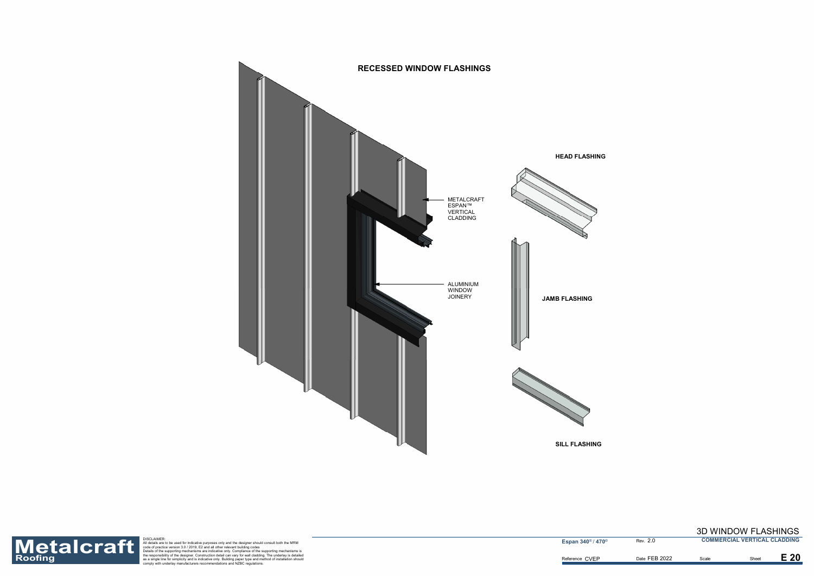

Roofing as a single for simple to the support of the designer should consult both the MRM<br>
Description of the support in the designer should consult both the MRM<br>
Description of practice version 3.0/2019, E2 and all other

**Espan 340<sup>®</sup> / 470<sup>®</sup> Rev. 2.0** 

## 3D WINDOW FLASHINGS

**COMMERCIAL VERTICAL CLADDING**

Date FEB 2022 Scale **Example 2022** 

 $E<sub>20</sub>$